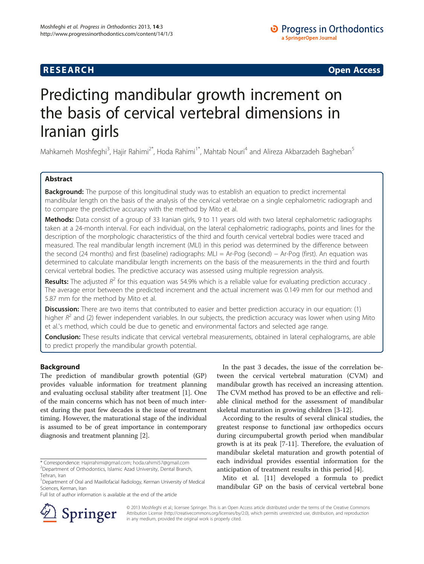# **RESEARCH RESEARCH CONSUMING ACCESS**

# Predicting mandibular growth increment on the basis of cervical vertebral dimensions in Iranian girls

Mahkameh Moshfeghi<sup>3</sup>, Hajir Rahimi<sup>2\*</sup>, Hoda Rahimi<sup>1\*</sup>, Mahtab Nouri<sup>4</sup> and Alireza Akbarzadeh Bagheban<sup>5</sup>

# Abstract

**Background:** The purpose of this longitudinal study was to establish an equation to predict incremental mandibular length on the basis of the analysis of the cervical vertebrae on a single cephalometric radiograph and to compare the predictive accuracy with the method by Mito et al.

Methods: Data consist of a group of 33 Iranian girls, 9 to 11 years old with two lateral cephalometric radiographs taken at a 24-month interval. For each individual, on the lateral cephalometric radiographs, points and lines for the description of the morphologic characteristics of the third and fourth cervical vertebral bodies were traced and measured. The real mandibular length increment (MLI) in this period was determined by the difference between the second (24 months) and first (baseline) radiographs: MLI = Ar-Pog (second) − Ar-Pog (first). An equation was determined to calculate mandibular length increments on the basis of the measurements in the third and fourth cervical vertebral bodies. The predictive accuracy was assessed using multiple regression analysis.

**Results:** The adjusted  $R^2$  for this equation was 54.9% which is a reliable value for evaluating prediction accuracy. The average error between the predicted increment and the actual increment was 0.149 mm for our method and 5.87 mm for the method by Mito et al.

**Discussion:** There are two items that contributed to easier and better prediction accuracy in our equation: (1) higher  $R^2$  and (2) fewer independent variables. In our subjects, the prediction accuracy was lower when using Mito et al.'s method, which could be due to genetic and environmental factors and selected age range.

Conclusion: These results indicate that cervical vertebral measurements, obtained in lateral cephalograms, are able to predict properly the mandibular growth potential.

# Background

The prediction of mandibular growth potential (GP) provides valuable information for treatment planning and evaluating occlusal stability after treatment [\[1](#page-5-0)]. One of the main concerns which has not been of much interest during the past few decades is the issue of treatment timing. However, the maturational stage of the individual is assumed to be of great importance in contemporary diagnosis and treatment planning [[2\]](#page-5-0).

Full list of author information is available at the end of the article

In the past 3 decades, the issue of the correlation between the cervical vertebral maturation (CVM) and mandibular growth has received an increasing attention. The CVM method has proved to be an effective and reliable clinical method for the assessment of mandibular skeletal maturation in growing children [[3-12\]](#page-5-0).

According to the results of several clinical studies, the greatest response to functional jaw orthopedics occurs during circumpubertal growth period when mandibular growth is at its peak [\[7](#page-5-0)-[11](#page-5-0)]. Therefore, the evaluation of mandibular skeletal maturation and growth potential of each individual provides essential information for the anticipation of treatment results in this period [[4](#page-5-0)].

Mito et al. [\[11](#page-5-0)] developed a formula to predict mandibular GP on the basis of cervical vertebral bone



© 2013 Moshfeghi et al.; licensee Springer. This is an Open Access article distributed under the terms of the Creative Commons Attribution License [\(http://creativecommons.org/licenses/by/2.0\)](http://creativecommons.org/licenses/by/2.0), which permits unrestricted use, distribution, and reproduction in any medium, provided the original work is properly cited.

<sup>\*</sup> Correspondence: [Hajirrahimi@gmail.com](mailto:Hajirrahimi@gmail.com); [hoda.rahimi57@gmail.com](mailto:hoda.rahimi57@gmail.com) <sup>2</sup> Department of Orthodontics, Islamic Azad University, Dental Branch, Tehran, Iran

<sup>&</sup>lt;sup>1</sup>Department of Oral and Maxillofacial Radiology, Kerman University of Medical Sciences, Kerman, Iran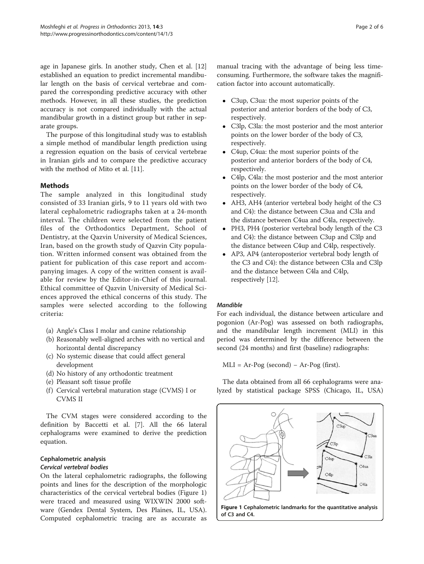age in Japanese girls. In another study, Chen et al. [[12](#page-5-0)] established an equation to predict incremental mandibular length on the basis of cervical vertebrae and compared the corresponding predictive accuracy with other methods. However, in all these studies, the prediction accuracy is not compared individually with the actual mandibular growth in a distinct group but rather in separate groups.

The purpose of this longitudinal study was to establish a simple method of mandibular length prediction using a regression equation on the basis of cervical vertebrae in Iranian girls and to compare the predictive accuracy with the method of Mito et al. [\[11](#page-5-0)].

# **Methods**

The sample analyzed in this longitudinal study consisted of 33 Iranian girls, 9 to 11 years old with two lateral cephalometric radiographs taken at a 24-month interval. The children were selected from the patient files of the Orthodontics Department, School of Dentistry, at the Qazvin University of Medical Sciences, Iran, based on the growth study of Qazvin City population. Written informed consent was obtained from the patient for publication of this case report and accompanying images. A copy of the written consent is available for review by the Editor-in-Chief of this journal. Ethical committee of Qazvin University of Medical Sciences approved the ethical concerns of this study. The samples were selected according to the following criteria:

- (a) Angle's Class I molar and canine relationship
- (b) Reasonably well-aligned arches with no vertical and horizontal dental discrepancy
- (c) No systemic disease that could affect general development
- (d) No history of any orthodontic treatment
- (e) Pleasant soft tissue profile
- (f) Cervical vertebral maturation stage (CVMS) I or CVMS II

The CVM stages were considered according to the definition by Baccetti et al. [[7](#page-5-0)]. All the 66 lateral cephalograms were examined to derive the prediction equation.

# Cephalometric analysis

# Cervical vertebral bodies

On the lateral cephalometric radiographs, the following points and lines for the description of the morphologic characteristics of the cervical vertebral bodies (Figure 1) were traced and measured using WIXWIN 2000 software (Gendex Dental System, Des Plaines, IL, USA). Computed cephalometric tracing are as accurate as manual tracing with the advantage of being less timeconsuming. Furthermore, the software takes the magnification factor into account automatically.

- C3up, C3ua: the most superior points of the posterior and anterior borders of the body of C3, respectively.
- C3lp, C3la: the most posterior and the most anterior points on the lower border of the body of C3, respectively.
- C4up, C4ua: the most superior points of the posterior and anterior borders of the body of C4, respectively.
- C4lp, C4la: the most posterior and the most anterior points on the lower border of the body of C4, respectively.
- AH3, AH4 (anterior vertebral body height of the C3 and C4): the distance between C3ua and C3la and the distance between C4ua and C4la, respectively.
- PH3, PH4 (posterior vertebral body length of the C3 and C4): the distance between C3up and C3lp and the distance between C4up and C4lp, respectively.
- AP3, AP4 (anteroposterior vertebral body length of the C3 and C4): the distance between C3la and C3lp and the distance between C4la and C4lp, respectively [[12](#page-5-0)].

# Mandible

For each individual, the distance between articulare and pogonion (Ar-Pog) was assessed on both radiographs, and the mandibular length increment (MLI) in this period was determined by the difference between the second (24 months) and first (baseline) radiographs:

 $MLI = Ar-Pog$  (second) – Ar-Pog (first).

The data obtained from all 66 cephalograms were analyzed by statistical package SPSS (Chicago, IL, USA)

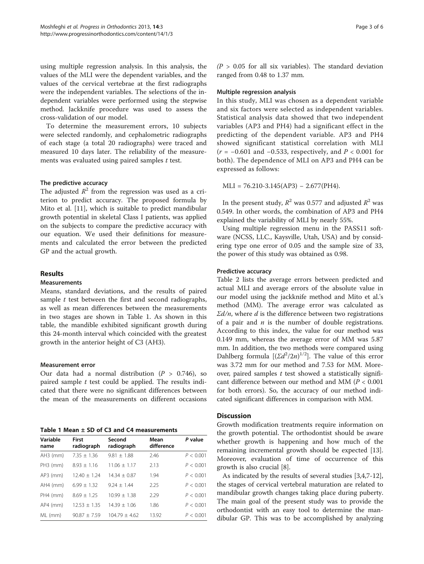using multiple regression analysis. In this analysis, the values of the MLI were the dependent variables, and the values of the cervical vertebrae at the first radiographs were the independent variables. The selections of the independent variables were performed using the stepwise method. Jackknife procedure was used to assess the cross-validation of our model.

To determine the measurement errors, 10 subjects were selected randomly, and cephalometric radiographs of each stage (a total 20 radiographs) were traced and measured 10 days later. The reliability of the measurements was evaluated using paired samples  $t$  test.

# The predictive accuracy

The adjusted  $R^2$  from the regression was used as a criterion to predict accuracy. The proposed formula by Mito et al. [\[11](#page-5-0)], which is suitable to predict mandibular growth potential in skeletal Class I patients, was applied on the subjects to compare the predictive accuracy with our equation. We used their definitions for measurements and calculated the error between the predicted GP and the actual growth.

# Results

# Measurements

Means, standard deviations, and the results of paired sample  $t$  test between the first and second radiographs, as well as mean differences between the measurements in two stages are shown in Table 1. As shown in this table, the mandible exhibited significant growth during this 24-month interval which coincided with the greatest growth in the anterior height of C3 (AH3).

# Measurement error

Our data had a normal distribution ( $P > 0.746$ ), so paired sample  $t$  test could be applied. The results indicated that there were no significant differences between the mean of the measurements on different occasions

Table 1 Mean ± SD of C3 and C4 measurements

| Variable<br>name | First<br>radiograph | Second<br>radiograph | Mean<br>difference | P value   |
|------------------|---------------------|----------------------|--------------------|-----------|
| $AH3$ (mm)       | $7.35 + 1.36$       | $9.81 + 1.88$        | 2.46               | P < 0.001 |
| $PH3$ (mm)       | $8.93 + 1.16$       | $11.06 + 1.17$       | 2.13               | P < 0.001 |
| $AP3$ (mm)       | $12.40 + 1.24$      | $14.34 + 0.87$       | 1.94               | P < 0.001 |
| $AH4$ (mm)       | $699 + 132$         | $924 + 144$          | 2.25               | P < 0.001 |
| $PH4$ (mm)       | $8.69 + 1.25$       | $10.99 + 1.38$       | 2.29               | P < 0.001 |
| $AP4$ (mm)       | $12.53 + 1.35$      | $14.39 + 1.06$       | 1.86               | P < 0.001 |
| ML (mm)          | $90.87 + 7.59$      | $104.79 + 4.62$      | 13.92              | P < 0.001 |

 $(P > 0.05$  for all six variables). The standard deviation ranged from 0.48 to 1.37 mm.

### Multiple regression analysis

In this study, MLI was chosen as a dependent variable and six factors were selected as independent variables. Statistical analysis data showed that two independent variables (AP3 and PH4) had a significant effect in the predicting of the dependent variable. AP3 and PH4 showed significant statistical correlation with MLI  $(r = -0.601$  and  $-0.533$ , respectively, and  $P < 0.001$  for both). The dependence of MLI on AP3 and PH4 can be expressed as follows:

 $MLI = 76.210-3.145(AP3) - 2.677(PH4).$ 

In the present study,  $R^2$  was 0.577 and adjusted  $R^2$  was 0.549. In other words, the combination of AP3 and PH4 explained the variability of MLI by nearly 55%.

Using multiple regression menu in the PASS11 software (NCSS, LLC., Kaysville, Utah, USA) and by considering type one error of 0.05 and the sample size of 33, the power of this study was obtained as 0.98.

# Predictive accuracy

Table [2](#page-3-0) lists the average errors between predicted and actual MLI and average errors of the absolute value in our model using the jackknife method and Mito et al.'s method (MM). The average error was calculated as  $\Sigma d/n$ , where d is the difference between two registrations of a pair and  $n$  is the number of double registrations. According to this index, the value for our method was 0.149 mm, whereas the average error of MM was 5.87 mm. In addition, the two methods were compared using Dahlberg formula  $[(\Sigma d^2/2n)^{1/2}]$ . The value of this error was 3.72 mm for our method and 7.53 for MM. Moreover, paired samples  $t$  test showed a statistically significant difference between our method and MM ( $P < 0.001$ ) for both errors). So, the accuracy of our method indicated significant differences in comparison with MM.

# **Discussion**

Growth modification treatments require information on the growth potential. The orthodontist should be aware whether growth is happening and how much of the remaining incremental growth should be expected [\[13](#page-5-0)]. Moreover, evaluation of time of occurrence of this growth is also crucial [[8\]](#page-5-0).

As indicated by the results of several studies [[3,4,7-12](#page-5-0)], the stages of cervical vertebral maturation are related to mandibular growth changes taking place during puberty. The main goal of the present study was to provide the orthodontist with an easy tool to determine the mandibular GP. This was to be accomplished by analyzing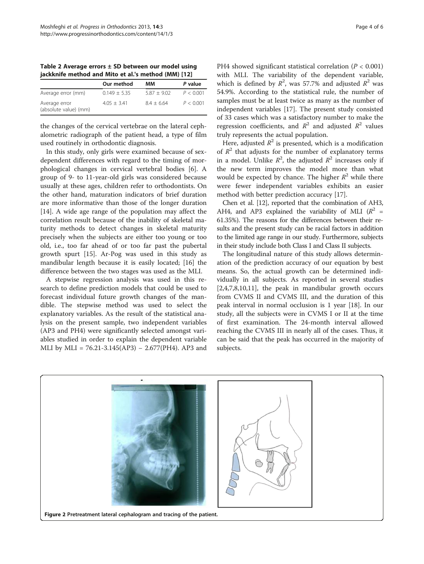<span id="page-3-0"></span>Table 2 Average errors  $\pm$  SD between our model using jackknife method and Mito et al.'s method (MM) [[12\]](#page-5-0)

|                                        | Our method     | ΜМ            | P value   |
|----------------------------------------|----------------|---------------|-----------|
| Average error (mm)                     | $0.149 + 5.35$ | $5.87 + 9.02$ | P < 0.001 |
| Average error<br>(absolute value) (mm) | $4.05 + 3.41$  | $8.4 + 6.64$  | P < 0.001 |

the changes of the cervical vertebrae on the lateral cephalometric radiograph of the patient head, a type of film used routinely in orthodontic diagnosis.

In this study, only girls were examined because of sexdependent differences with regard to the timing of morphological changes in cervical vertebral bodies [[6\]](#page-5-0). A group of 9- to 11-year-old girls was considered because usually at these ages, children refer to orthodontists. On the other hand, maturation indicators of brief duration are more informative than those of the longer duration [[14\]](#page-5-0). A wide age range of the population may affect the correlation result because of the inability of skeletal maturity methods to detect changes in skeletal maturity precisely when the subjects are either too young or too old, i.e., too far ahead of or too far past the pubertal growth spurt [[15\]](#page-5-0). Ar-Pog was used in this study as mandibular length because it is easily located; [\[16](#page-5-0)] the difference between the two stages was used as the MLI.

A stepwise regression analysis was used in this research to define prediction models that could be used to forecast individual future growth changes of the mandible. The stepwise method was used to select the explanatory variables. As the result of the statistical analysis on the present sample, two independent variables (AP3 and PH4) were significantly selected amongst variables studied in order to explain the dependent variable MLI by MLI = 76.21-3.145(AP3) – 2.677(PH4). AP3 and

PH4 showed significant statistical correlation ( $P < 0.001$ ) with MLI. The variability of the dependent variable, which is defined by  $R^2$ , was 57.7% and adjusted  $R^2$  was 54.9%. According to the statistical rule, the number of samples must be at least twice as many as the number of independent variables [[17\]](#page-5-0). The present study consisted of 33 cases which was a satisfactory number to make the regression coefficients, and  $R^2$  and adjusted  $R^2$  values truly represents the actual population.

Here, adjusted  $R^2$  is presented, which is a modification of  $R^2$  that adjusts for the number of explanatory terms in a model. Unlike  $R^2$ , the adjusted  $R^2$  increases only if the new term improves the model more than what would be expected by chance. The higher  $R^2$  while there were fewer independent variables exhibits an easier method with better prediction accuracy [[17\]](#page-5-0).

Chen et al. [\[12\]](#page-5-0), reported that the combination of AH3, AH4, and AP3 explained the variability of MLI ( $R^2$  = 61.35%). The reasons for the differences between their results and the present study can be racial factors in addition to the limited age range in our study. Furthermore, subjects in their study include both Class I and Class II subjects.

The longitudinal nature of this study allows determination of the prediction accuracy of our equation by best means. So, the actual growth can be determined individually in all subjects. As reported in several studies [[2,4,7,8,10,11\]](#page-5-0), the peak in mandibular growth occurs from CVMS II and CVMS III, and the duration of this peak interval in normal occlusion is 1 year [[18\]](#page-5-0). In our study, all the subjects were in CVMS I or II at the time of first examination. The 24-month interval allowed reaching the CVMS III in nearly all of the cases. Thus, it can be said that the peak has occurred in the majority of subjects.

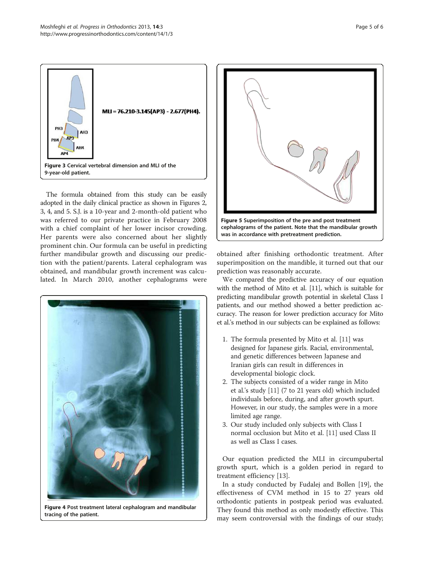



The formula obtained from this study can be easily adopted in the daily clinical practice as shown in Figures [2](#page-3-0), 3, 4, and 5. S.J. is a 10-year and 2-month-old patient who was referred to our private practice in February 2008 with a chief complaint of her lower incisor crowding. Her parents were also concerned about her slightly prominent chin. Our formula can be useful in predicting further mandibular growth and discussing our prediction with the patient/parents. Lateral cephalogram was obtained, and mandibular growth increment was calculated. In March 2010, another cephalograms were



Figure 4 Post treatment lateral cephalogram and mandibular tracing of the patient.



obtained after finishing orthodontic treatment. After superimposition on the mandible, it turned out that our prediction was reasonably accurate.

We compared the predictive accuracy of our equation with the method of Mito et al. [[11](#page-5-0)], which is suitable for predicting mandibular growth potential in skeletal Class I patients, and our method showed a better prediction accuracy. The reason for lower prediction accuracy for Mito et al.'s method in our subjects can be explained as follows:

- 1. The formula presented by Mito et al. [\[11\]](#page-5-0) was designed for Japanese girls. Racial, environmental, and genetic differences between Japanese and Iranian girls can result in differences in developmental biologic clock.
- 2. The subjects consisted of a wider range in Mito et al.'s study [[11](#page-5-0)] (7 to 21 years old) which included individuals before, during, and after growth spurt. However, in our study, the samples were in a more limited age range.
- 3. Our study included only subjects with Class I normal occlusion but Mito et al. [\[11\]](#page-5-0) used Class II as well as Class I cases.

Our equation predicted the MLI in circumpubertal growth spurt, which is a golden period in regard to treatment efficiency [[13\]](#page-5-0).

In a study conducted by Fudalej and Bollen [\[19](#page-5-0)], the effectiveness of CVM method in 15 to 27 years old orthodontic patients in postpeak period was evaluated. They found this method as only modestly effective. This may seem controversial with the findings of our study;